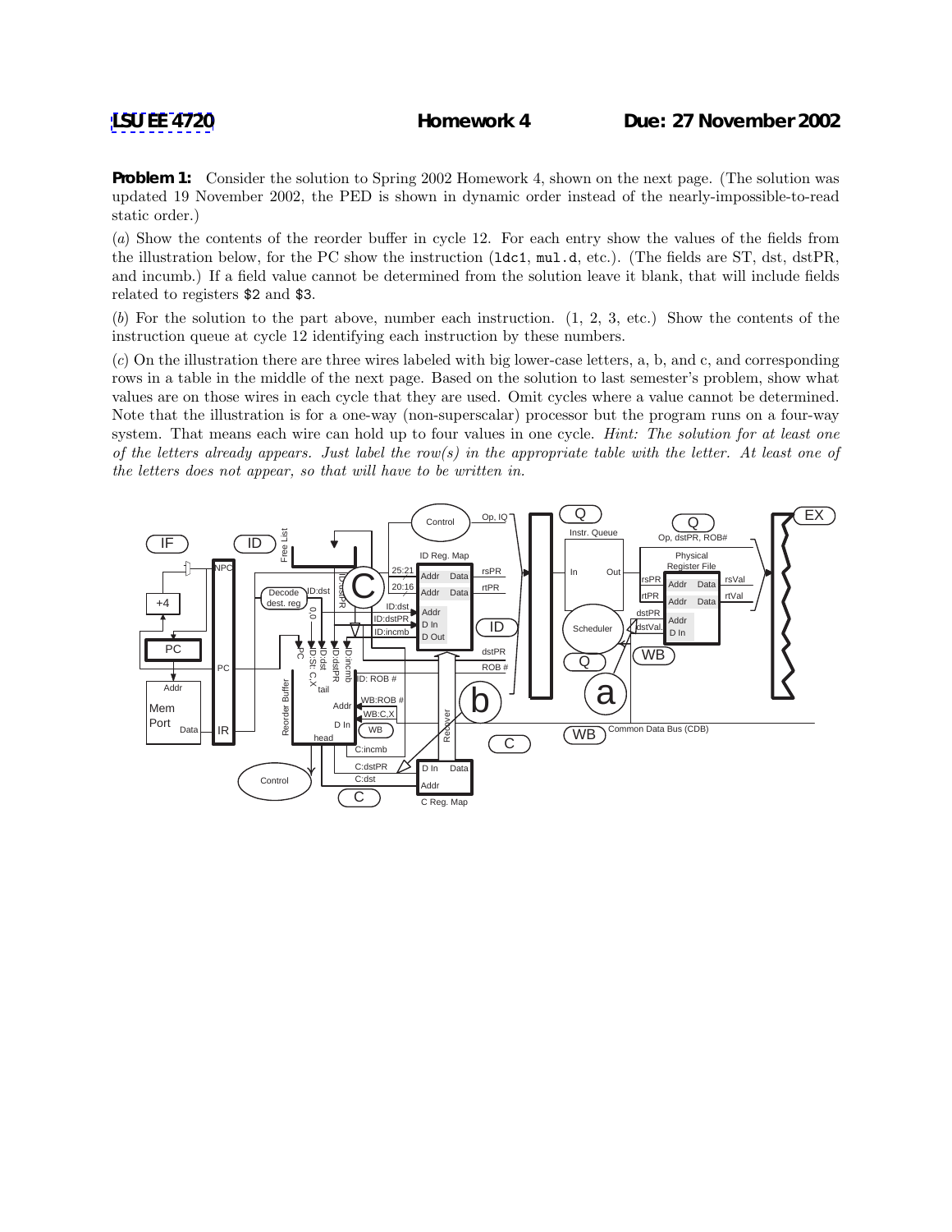**Problem 1:** Consider the solution to Spring 2002 Homework 4, shown on the next page. (The solution was updated 19 November 2002, the PED is shown in dynamic order instead of the nearly-impossible-to-read static order.)

(*a*) Show the contents of the reorder buffer in cycle 12. For each entry show the values of the fields from the illustration below, for the PC show the instruction (ldc1, mul.d, etc.). (The fields are ST, dst, dstPR, and incumb.) If a field value cannot be determined from the solution leave it blank, that will include fields related to registers \$2 and \$3.

(*b*) For the solution to the part above, number each instruction. (1, 2, 3, etc.) Show the contents of the instruction queue at cycle 12 identifying each instruction by these numbers.

(*c*) On the illustration there are three wires labeled with big lower-case letters, a, b, and c, and corresponding rows in a table in the middle of the next page. Based on the solution to last semester's problem, show what values are on those wires in each cycle that they are used. Omit cycles where a value cannot be determined. Note that the illustration is for a one-way (non-superscalar) processor but the program runs on a four-way system. That means each wire can hold up to four values in one cycle. *Hint: The solution for at least one of the letters already appears. Just label the row(s) in the appropriate table with the letter. At least one of the letters does not appear, so that will have to be written in.*